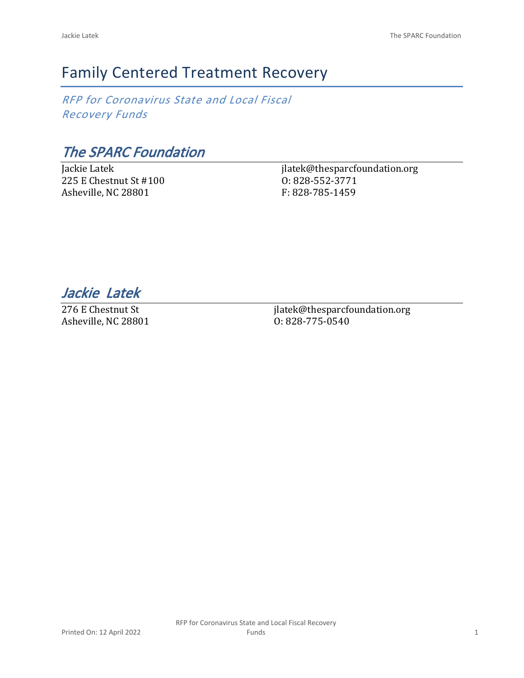# Family Centered Treatment Recovery

*RFP for Coronavirus State and Local Fiscal Recovery Funds*

*The SPARC Foundation*

Jackie Latek 225 E Chestnut St #100 Asheville, NC 28801

jlatek@thesparcfoundation.org O: 828-552-3771 F: 828-785-1459

*Jackie Latek* 

276 E Chestnut St Asheville, NC 28801 jlatek@thesparcfoundation.org O: 828-775-0540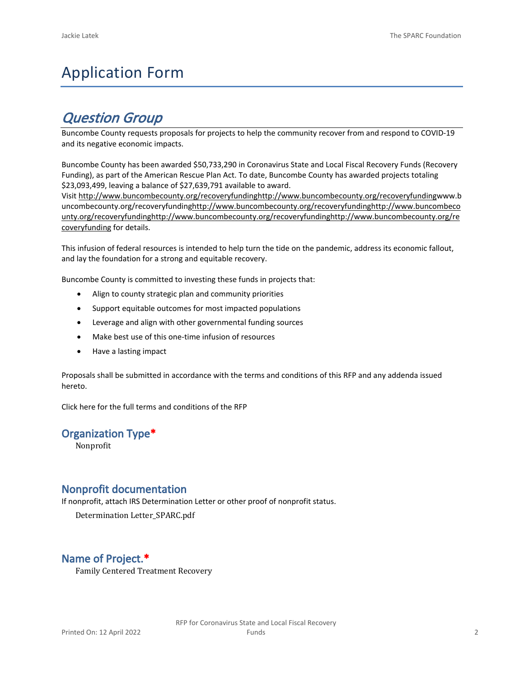# Application Form

# *Question Group*

Buncombe County requests proposals for projects to help the community recover from and respond to COVID-19 and its negative economic impacts.

Buncombe County has been awarded \$50,733,290 in Coronavirus State and Local Fiscal Recovery Funds (Recovery Funding), as part of the American Rescue Plan Act. To date, Buncombe County has awarded projects totaling \$23,093,499, leaving a balance of \$27,639,791 available to award.

Visit [http://www.buncombecounty.org/recoveryfundinghttp://www.buncombecounty.org/recoveryfundingwww.b](http://www.buncombecounty.org/recoveryfunding) [uncombecounty.org/recoveryfundinghttp://www.buncombecounty.org/recoveryfundinghttp://www.buncombeco](http://www.buncombecounty.org/recoveryfunding) [unty.org/recoveryfundinghttp://www.buncombecounty.org/recoveryfundinghttp://www.buncombecounty.org/re](http://www.buncombecounty.org/recoveryfunding) [coveryfunding](http://www.buncombecounty.org/recoveryfunding) for details.

This infusion of federal resources is intended to help turn the tide on the pandemic, address its economic fallout, and lay the foundation for a strong and equitable recovery.

Buncombe County is committed to investing these funds in projects that:

- Align to county strategic plan and community priorities
- Support equitable outcomes for most impacted populations
- Leverage and align with other governmental funding sources
- Make best use of this one-time infusion of resources
- Have a lasting impact

Proposals shall be submitted in accordance with the terms and conditions of this RFP and any addenda issued hereto.

Click [here](https://www.buncombecounty.org/common/purchasing/Buncombe%20Recovery%20Funding%20RFP%202022.pdf) for the full terms and conditions of the RFP

#### **Organization Type\***

Nonprofit

#### **Nonprofit documentation**

If nonprofit, attach IRS Determination Letter or other proof of nonprofit status.

Determination Letter\_SPARC.pdf

### **Name of Project.\***

Family Centered Treatment Recovery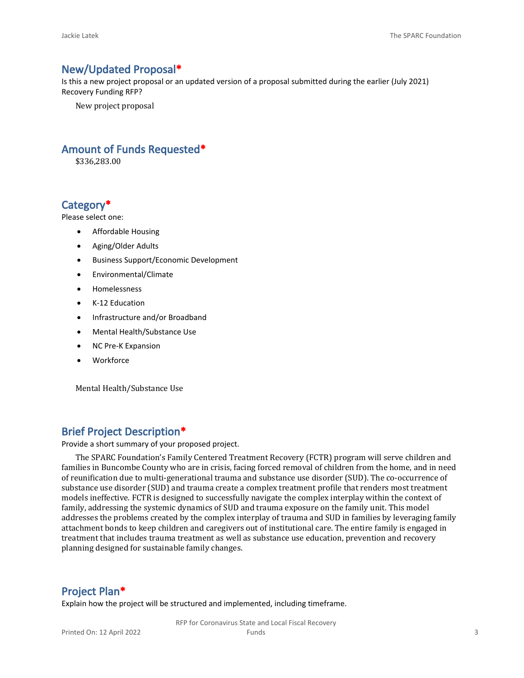#### **New/Updated Proposal\***

Is this a new project proposal or an updated version of a proposal submitted during the earlier (July 2021) Recovery Funding RFP?

New project proposal

#### **Amount of Funds Requested\***

\$336,283.00

#### **Category\***

Please select one:

- Affordable Housing
- Aging/Older Adults
- Business Support/Economic Development
- Environmental/Climate
- Homelessness
- K-12 Education
- Infrastructure and/or Broadband
- Mental Health/Substance Use
- NC Pre-K Expansion
- Workforce

Mental Health/Substance Use

#### **Brief Project Description\***

Provide a short summary of your proposed project.

The SPARC Foundation's Family Centered Treatment Recovery (FCTR) program will serve children and families in Buncombe County who are in crisis, facing forced removal of children from the home, and in need of reunification due to multi-generational trauma and substance use disorder (SUD). The co-occurrence of substance use disorder (SUD) and trauma create a complex treatment profile that renders most treatment models ineffective. FCTR is designed to successfully navigate the complex interplay within the context of family, addressing the systemic dynamics of SUD and trauma exposure on the family unit. This model addresses the problems created by the complex interplay of trauma and SUD in families by leveraging family attachment bonds to keep children and caregivers out of institutional care. The entire family is engaged in treatment that includes trauma treatment as well as substance use education, prevention and recovery planning designed for sustainable family changes.

#### **Project Plan\***

Explain how the project will be structured and implemented, including timeframe.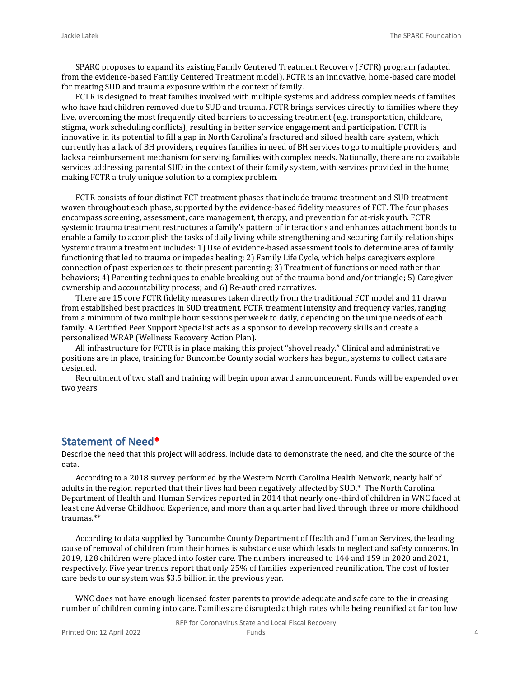SPARC proposes to expand its existing Family Centered Treatment Recovery (FCTR) program (adapted from the evidence-based Family Centered Treatment model). FCTR is an innovative, home-based care model for treating SUD and trauma exposure within the context of family.

FCTR is designed to treat families involved with multiple systems and address complex needs of families who have had children removed due to SUD and trauma. FCTR brings services directly to families where they live, overcoming the most frequently cited barriers to accessing treatment (e.g. transportation, childcare, stigma, work scheduling conflicts), resulting in better service engagement and participation. FCTR is innovative in its potential to fill a gap in North Carolina's fractured and siloed health care system, which currently has a lack of BH providers, requires families in need of BH services to go to multiple providers, and lacks a reimbursement mechanism for serving families with complex needs. Nationally, there are no available services addressing parental SUD in the context of their family system, with services provided in the home, making FCTR a truly unique solution to a complex problem.

FCTR consists of four distinct FCT treatment phases that include trauma treatment and SUD treatment woven throughout each phase, supported by the evidence-based fidelity measures of FCT. The four phases encompass screening, assessment, care management, therapy, and prevention for at-risk youth. FCTR systemic trauma treatment restructures a family's pattern of interactions and enhances attachment bonds to enable a family to accomplish the tasks of daily living while strengthening and securing family relationships. Systemic trauma treatment includes: 1) Use of evidence-based assessment tools to determine area of family functioning that led to trauma or impedes healing; 2) Family Life Cycle, which helps caregivers explore connection of past experiences to their present parenting; 3) Treatment of functions or need rather than behaviors; 4) Parenting techniques to enable breaking out of the trauma bond and/or triangle; 5) Caregiver ownership and accountability process; and 6) Re-authored narratives.

There are 15 core FCTR fidelity measures taken directly from the traditional FCT model and 11 drawn from established best practices in SUD treatment. FCTR treatment intensity and frequency varies, ranging from a minimum of two multiple hour sessions per week to daily, depending on the unique needs of each family. A Certified Peer Support Specialist acts as a sponsor to develop recovery skills and create a personalized WRAP (Wellness Recovery Action Plan).

All infrastructure for FCTR is in place making this project "shovel ready." Clinical and administrative positions are in place, training for Buncombe County social workers has begun, systems to collect data are designed.

Recruitment of two staff and training will begin upon award announcement. Funds will be expended over two years.

#### **Statement of Need\***

Describe the need that this project will address. Include data to demonstrate the need, and cite the source of the data.

According to a 2018 survey performed by the Western North Carolina Health Network, nearly half of adults in the region reported that their lives had been negatively affected by SUD.\* The North Carolina Department of Health and Human Services reported in 2014 that nearly one-third of children in WNC faced at least one Adverse Childhood Experience, and more than a quarter had lived through three or more childhood traumas.\*\*

According to data supplied by Buncombe County Department of Health and Human Services, the leading cause of removal of children from their homes is substance use which leads to neglect and safety concerns. In 2019, 128 children were placed into foster care. The numbers increased to 144 and 159 in 2020 and 2021, respectively. Five year trends report that only 25% of families experienced reunification. The cost of foster care beds to our system was \$3.5 billion in the previous year.

WNC does not have enough licensed foster parents to provide adequate and safe care to the increasing number of children coming into care. Families are disrupted at high rates while being reunified at far too low

RFP for Coronavirus State and Local Fiscal Recovery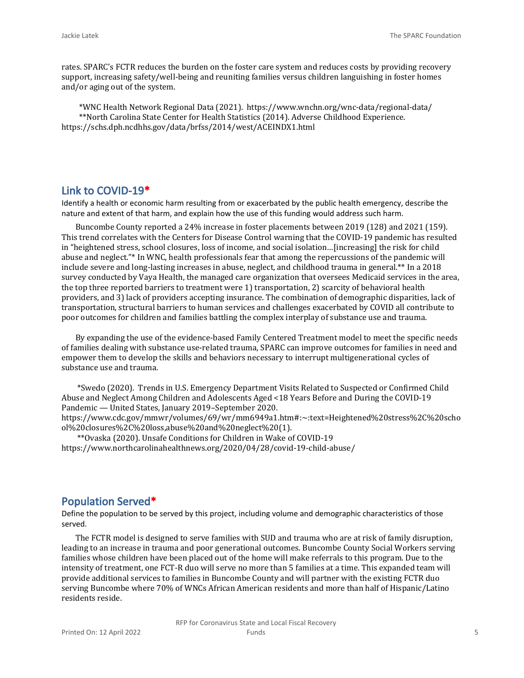rates. SPARC's FCTR reduces the burden on the foster care system and reduces costs by providing recovery support, increasing safety/well-being and reuniting families versus children languishing in foster homes and/or aging out of the system.

 \*WNC Health Network Regional Data (2021). https://www.wnchn.org/wnc-data/regional-data/ \*\*North Carolina State Center for Health Statistics (2014). Adverse Childhood Experience. https://schs.dph.ncdhhs.gov/data/brfss/2014/west/ACEINDX1.html

#### **Link to COVID-19\***

Identify a health or economic harm resulting from or exacerbated by the public health emergency, describe the nature and extent of that harm, and explain how the use of this funding would address such harm.

Buncombe County reported a 24% increase in foster placements between 2019 (128) and 2021 (159). This trend correlates with the Centers for Disease Control warning that the COVID-19 pandemic has resulted in "heightened stress, school closures, loss of income, and social isolation…[increasing] the risk for child abuse and neglect."\* In WNC, health professionals fear that among the repercussions of the pandemic will include severe and long-lasting increases in abuse, neglect, and childhood trauma in general.\*\* In a 2018 survey conducted by Vaya Health, the managed care organization that oversees Medicaid services in the area, the top three reported barriers to treatment were 1) transportation, 2) scarcity of behavioral health providers, and 3) lack of providers accepting insurance. The combination of demographic disparities, lack of transportation, structural barriers to human services and challenges exacerbated by COVID all contribute to poor outcomes for children and families battling the complex interplay of substance use and trauma.

By expanding the use of the evidence-based Family Centered Treatment model to meet the specific needs of families dealing with substance use-related trauma, SPARC can improve outcomes for families in need and empower them to develop the skills and behaviors necessary to interrupt multigenerational cycles of substance use and trauma.

 \*Swedo (2020). Trends in U.S. Emergency Department Visits Related to Suspected or Confirmed Child Abuse and Neglect Among Children and Adolescents Aged <18 Years Before and During the COVID-19 Pandemic — United States, January 2019–September 2020. https://www.cdc.gov/mmwr/volumes/69/wr/mm6949a1.htm#:~:text=Heightened%20stress%2C%20scho

ol%20closures%2C%20loss,abuse%20and%20neglect%20(1).

 \*\*Ovaska (2020). Unsafe Conditions for Children in Wake of COVID-19 https://www.northcarolinahealthnews.org/2020/04/28/covid-19-child-abuse/

#### **Population Served\***

Define the population to be served by this project, including volume and demographic characteristics of those served.

The FCTR model is designed to serve families with SUD and trauma who are at risk of family disruption, leading to an increase in trauma and poor generational outcomes. Buncombe County Social Workers serving families whose children have been placed out of the home will make referrals to this program. Due to the intensity of treatment, one FCT-R duo will serve no more than 5 families at a time. This expanded team will provide additional services to families in Buncombe County and will partner with the existing FCTR duo serving Buncombe where 70% of WNCs African American residents and more than half of Hispanic/Latino residents reside.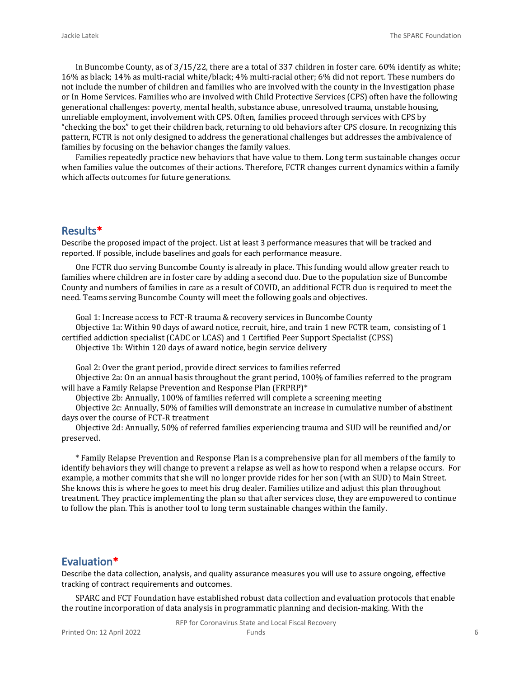In Buncombe County, as of 3/15/22, there are a total of 337 children in foster care. 60% identify as white; 16% as black; 14% as multi-racial white/black; 4% multi-racial other; 6% did not report. These numbers do not include the number of children and families who are involved with the county in the Investigation phase or In Home Services. Families who are involved with Child Protective Services (CPS) often have the following generational challenges: poverty, mental health, substance abuse, unresolved trauma, unstable housing, unreliable employment, involvement with CPS. Often, families proceed through services with CPS by "checking the box" to get their children back, returning to old behaviors after CPS closure. In recognizing this pattern, FCTR is not only designed to address the generational challenges but addresses the ambivalence of families by focusing on the behavior changes the family values.

Families repeatedly practice new behaviors that have value to them. Long term sustainable changes occur when families value the outcomes of their actions. Therefore, FCTR changes current dynamics within a family which affects outcomes for future generations.

#### **Results\***

Describe the proposed impact of the project. List at least 3 performance measures that will be tracked and reported. If possible, include baselines and goals for each performance measure.

One FCTR duo serving Buncombe County is already in place. This funding would allow greater reach to families where children are in foster care by adding a second duo. Due to the population size of Buncombe County and numbers of families in care as a result of COVID, an additional FCTR duo is required to meet the need. Teams serving Buncombe County will meet the following goals and objectives.

Goal 1: Increase access to FCT-R trauma & recovery services in Buncombe County

Objective 1a: Within 90 days of award notice, recruit, hire, and train 1 new FCTR team, consisting of 1 certified addiction specialist (CADC or LCAS) and 1 Certified Peer Support Specialist (CPSS) Objective 1b: Within 120 days of award notice, begin service delivery

Goal 2: Over the grant period, provide direct services to families referred

Objective 2a: On an annual basis throughout the grant period, 100% of families referred to the program will have a Family Relapse Prevention and Response Plan (FRPRP)\*

Objective 2b: Annually, 100% of families referred will complete a screening meeting

Objective 2c: Annually, 50% of families will demonstrate an increase in cumulative number of abstinent days over the course of FCT-R treatment

Objective 2d: Annually, 50% of referred families experiencing trauma and SUD will be reunified and/or preserved.

\* Family Relapse Prevention and Response Plan is a comprehensive plan for all members of the family to identify behaviors they will change to prevent a relapse as well as how to respond when a relapse occurs. For example, a mother commits that she will no longer provide rides for her son (with an SUD) to Main Street. She knows this is where he goes to meet his drug dealer. Families utilize and adjust this plan throughout treatment. They practice implementing the plan so that after services close, they are empowered to continue to follow the plan. This is another tool to long term sustainable changes within the family.

#### **Evaluation\***

Describe the data collection, analysis, and quality assurance measures you will use to assure ongoing, effective tracking of contract requirements and outcomes.

SPARC and FCT Foundation have established robust data collection and evaluation protocols that enable the routine incorporation of data analysis in programmatic planning and decision-making. With the

RFP for Coronavirus State and Local Fiscal Recovery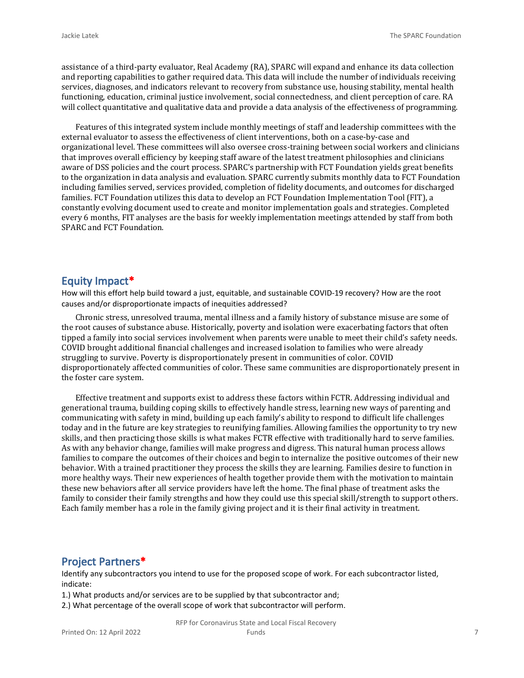assistance of a third-party evaluator, Real Academy (RA), SPARC will expand and enhance its data collection and reporting capabilities to gather required data. This data will include the number of individuals receiving services, diagnoses, and indicators relevant to recovery from substance use, housing stability, mental health functioning, education, criminal justice involvement, social connectedness, and client perception of care. RA will collect quantitative and qualitative data and provide a data analysis of the effectiveness of programming.

Features of this integrated system include monthly meetings of staff and leadership committees with the external evaluator to assess the effectiveness of client interventions, both on a case-by-case and organizational level. These committees will also oversee cross-training between social workers and clinicians that improves overall efficiency by keeping staff aware of the latest treatment philosophies and clinicians aware of DSS policies and the court process. SPARC's partnership with FCT Foundation yields great benefits to the organization in data analysis and evaluation. SPARC currently submits monthly data to FCT Foundation including families served, services provided, completion of fidelity documents, and outcomes for discharged families. FCT Foundation utilizes this data to develop an FCT Foundation Implementation Tool (FIT), a constantly evolving document used to create and monitor implementation goals and strategies. Completed every 6 months, FIT analyses are the basis for weekly implementation meetings attended by staff from both SPARC and FCT Foundation.

#### **Equity Impact\***

How will this effort help build toward a just, equitable, and sustainable COVID-19 recovery? How are the root causes and/or disproportionate impacts of inequities addressed?

Chronic stress, unresolved trauma, mental illness and a family history of substance misuse are some of the root causes of substance abuse. Historically, poverty and isolation were exacerbating factors that often tipped a family into social services involvement when parents were unable to meet their child's safety needs. COVID brought additional financial challenges and increased isolation to families who were already struggling to survive. Poverty is disproportionately present in communities of color. COVID disproportionately affected communities of color. These same communities are disproportionately present in the foster care system.

Effective treatment and supports exist to address these factors within FCTR. Addressing individual and generational trauma, building coping skills to effectively handle stress, learning new ways of parenting and communicating with safety in mind, building up each family's ability to respond to difficult life challenges today and in the future are key strategies to reunifying families. Allowing families the opportunity to try new skills, and then practicing those skills is what makes FCTR effective with traditionally hard to serve families. As with any behavior change, families will make progress and digress. This natural human process allows families to compare the outcomes of their choices and begin to internalize the positive outcomes of their new behavior. With a trained practitioner they process the skills they are learning. Families desire to function in more healthy ways. Their new experiences of health together provide them with the motivation to maintain these new behaviors after all service providers have left the home. The final phase of treatment asks the family to consider their family strengths and how they could use this special skill/strength to support others. Each family member has a role in the family giving project and it is their final activity in treatment.

#### **Project Partners\***

Identify any subcontractors you intend to use for the proposed scope of work. For each subcontractor listed, indicate:

1.) What products and/or services are to be supplied by that subcontractor and;

2.) What percentage of the overall scope of work that subcontractor will perform.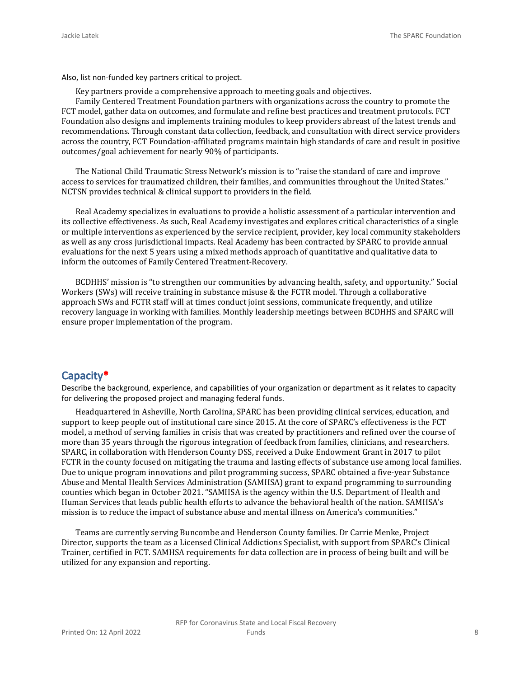Also, list non-funded key partners critical to project.

Key partners provide a comprehensive approach to meeting goals and objectives.

Family Centered Treatment Foundation partners with organizations across the country to promote the FCT model, gather data on outcomes, and formulate and refine best practices and treatment protocols. FCT Foundation also designs and implements training modules to keep providers abreast of the latest trends and recommendations. Through constant data collection, feedback, and consultation with direct service providers across the country, FCT Foundation-affiliated programs maintain high standards of care and result in positive outcomes/goal achievement for nearly 90% of participants.

The National Child Traumatic Stress Network's mission is to "raise the standard of care and improve access to services for traumatized children, their families, and communities throughout the United States." NCTSN provides technical & clinical support to providers in the field.

Real Academy specializes in evaluations to provide a holistic assessment of a particular intervention and its collective effectiveness. As such, Real Academy investigates and explores critical characteristics of a single or multiple interventions as experienced by the service recipient, provider, key local community stakeholders as well as any cross jurisdictional impacts. Real Academy has been contracted by SPARC to provide annual evaluations for the next 5 years using a mixed methods approach of quantitative and qualitative data to inform the outcomes of Family Centered Treatment-Recovery.

BCDHHS' mission is "to strengthen our communities by advancing health, safety, and opportunity." Social Workers (SWs) will receive training in substance misuse & the FCTR model. Through a collaborative approach SWs and FCTR staff will at times conduct joint sessions, communicate frequently, and utilize recovery language in working with families. Monthly leadership meetings between BCDHHS and SPARC will ensure proper implementation of the program.

#### **Capacity\***

Describe the background, experience, and capabilities of your organization or department as it relates to capacity for delivering the proposed project and managing federal funds.

Headquartered in Asheville, North Carolina, SPARC has been providing clinical services, education, and support to keep people out of institutional care since 2015. At the core of SPARC's effectiveness is the FCT model, a method of serving families in crisis that was created by practitioners and refined over the course of more than 35 years through the rigorous integration of feedback from families, clinicians, and researchers. SPARC, in collaboration with Henderson County DSS, received a Duke Endowment Grant in 2017 to pilot FCTR in the county focused on mitigating the trauma and lasting effects of substance use among local families. Due to unique program innovations and pilot programming success, SPARC obtained a five-year Substance Abuse and Mental Health Services Administration (SAMHSA) grant to expand programming to surrounding counties which began in October 2021. "SAMHSA is the agency within the U.S. Department of Health and Human Services that leads public health efforts to advance the behavioral health of the nation. SAMHSA's mission is to reduce the impact of substance abuse and mental illness on America's communities."

Teams are currently serving Buncombe and Henderson County families. Dr Carrie Menke, Project Director, supports the team as a Licensed Clinical Addictions Specialist, with support from SPARC's Clinical Trainer, certified in FCT. SAMHSA requirements for data collection are in process of being built and will be utilized for any expansion and reporting.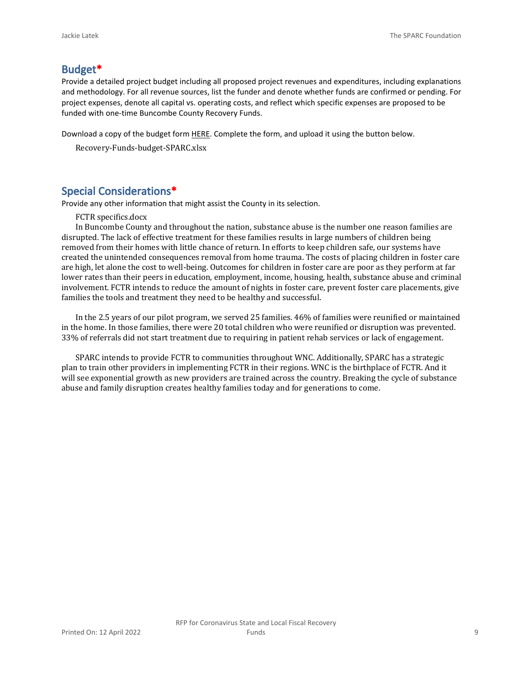#### **Budget\***

Provide a detailed project budget including all proposed project revenues and expenditures, including explanations and methodology. For all revenue sources, list the funder and denote whether funds are confirmed or pending. For project expenses, denote all capital vs. operating costs, and reflect which specific expenses are proposed to be funded with one-time Buncombe County Recovery Funds.

Download a copy of the budget form [HERE](https://buncombecounty.org/common/community-investment/grants/early-childhood-education/Recovery-Funds-budget-template.xlsx). Complete the form, and upload it using the button below.

Recovery-Funds-budget-SPARC.xlsx

#### **Special Considerations\***

Provide any other information that might assist the County in its selection.

#### FCTR specifics.docx

In Buncombe County and throughout the nation, substance abuse is the number one reason families are disrupted. The lack of effective treatment for these families results in large numbers of children being removed from their homes with little chance of return. In efforts to keep children safe, our systems have created the unintended consequences removal from home trauma. The costs of placing children in foster care are high, let alone the cost to well-being. Outcomes for children in foster care are poor as they perform at far lower rates than their peers in education, employment, income, housing, health, substance abuse and criminal involvement. FCTR intends to reduce the amount of nights in foster care, prevent foster care placements, give families the tools and treatment they need to be healthy and successful.

In the 2.5 years of our pilot program, we served 25 families. 46% of families were reunified or maintained in the home. In those families, there were 20 total children who were reunified or disruption was prevented. 33% of referrals did not start treatment due to requiring in patient rehab services or lack of engagement.

SPARC intends to provide FCTR to communities throughout WNC. Additionally, SPARC has a strategic plan to train other providers in implementing FCTR in their regions. WNC is the birthplace of FCTR. And it will see exponential growth as new providers are trained across the country. Breaking the cycle of substance abuse and family disruption creates healthy families today and for generations to come.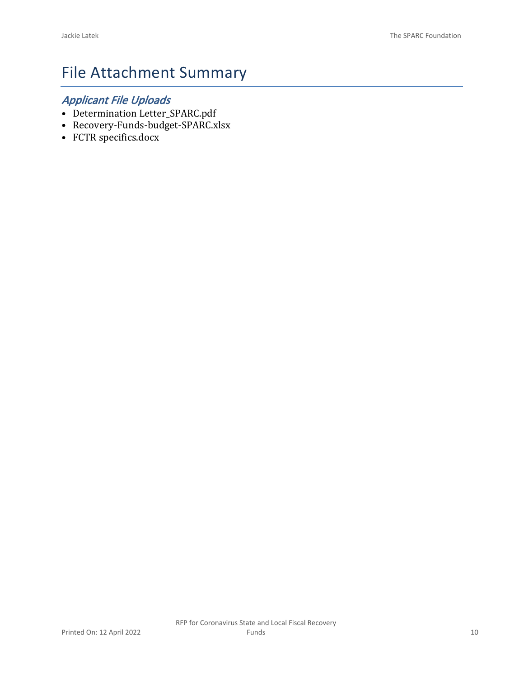# File Attachment Summary

## *Applicant File Uploads*

- Determination Letter\_SPARC.pdf
- Recovery-Funds-budget-SPARC.xlsx
- FCTR specifics.docx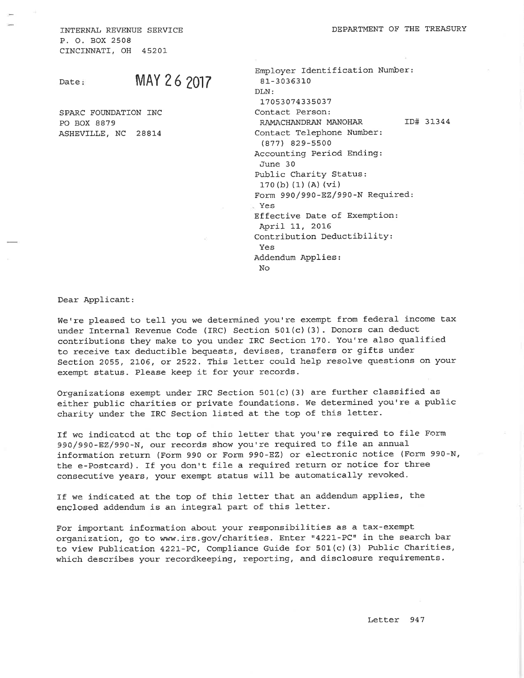INTERNAL REVENUE SERVICE P. O. BOX 2508 CINCINNATI, OH 45201

Date:

## MAY 26 2017

SPARC FOUNDATION INC PO BOX 8879 ASHEVILLE, NC 28814

Employer Identification Number: 81-3036310 DLN: 17053074335037 Contact Person: RAMACHANDRAN MANOHAR ID# 31344 Contact Telephone Number:  $(877)$  829-5500 Accounting Period Ending: June 30 Public Charity Status:  $170(b) (1) (A) (vi)$ Form 990/990-EZ/990-N Required: Yes Effective Date of Exemption: April 11, 2016 Contribution Deductibility: Yes Addendum Applies: No

Dear Applicant:

We're pleased to tell you we determined you're exempt from federal income tax under Internal Revenue Code (IRC) Section 501(c) (3). Donors can deduct contributions they make to you under IRC Section 170. You're also qualified to receive tax deductible bequests, devises, transfers or gifts under Section 2055, 2106, or 2522. This letter could help resolve questions on your exempt status. Please keep it for your records.

Organizations exempt under IRC Section 501(c)(3) are further classified as either public charities or private foundations. We determined you're a public charity under the IRC Section listed at the top of this letter.

If we indicated at the top of this letter that you're required to file Form 990/990-EZ/990-N, our records show you're required to file an annual information return (Form 990 or Form 990-EZ) or electronic notice (Form 990-N, the e-Postcard). If you don't file a required return or notice for three consecutive years, your exempt status will be automatically revoked.

If we indicated at the top of this letter that an addendum applies, the enclosed addendum is an integral part of this letter.

For important information about your responsibilities as a tax-exempt organization, go to www.irs.gov/charities. Enter "4221-PC" in the search bar to view Publication 4221-PC, Compliance Guide for 501(c)(3) Public Charities, which describes your recordkeeping, reporting, and disclosure requirements.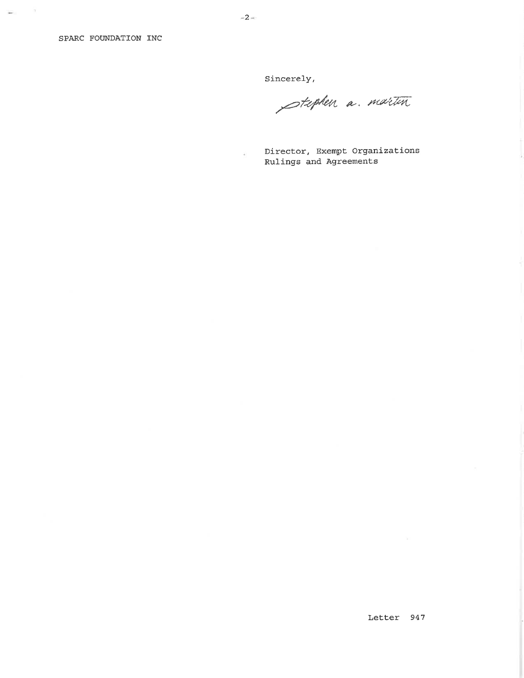$\omega_{\rm H}=-0$ 

Sincerely,

Stephen a. martin

Director, Exempt Organizations Rulings and Agreements

¥)

Letter 947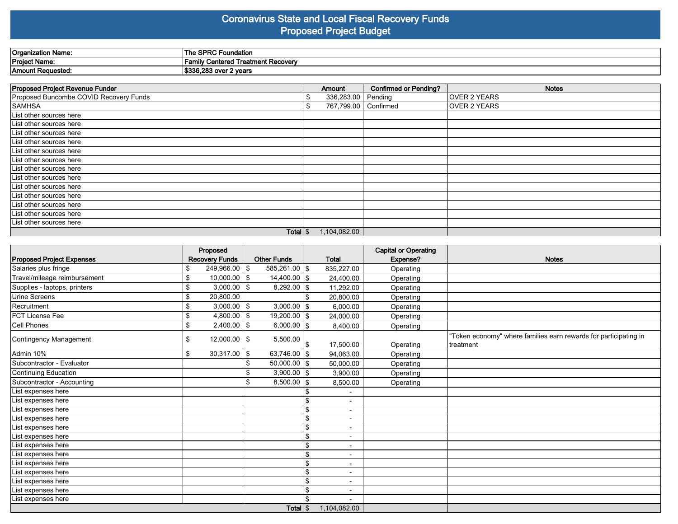#### **Coronavirus State and Local Fiscal Recovery Funds Proposed Project Budget**

| ≀Organization Name: | PRC Foundation<br>The SI                                  |
|---------------------|-----------------------------------------------------------|
| Project Name:       | I Treatment Recover∖<br>Centered<br>-amilv                |
| Amount Requested:   | . Anr<br>ימה ב<br>r 7 yaan<br>$\sim$<br>סעט י<br>4 νσαι σ |

| Proposed Project Revenue Funder        |    | Amount       | <b>Confirmed or Pending?</b> | <b>Notes</b>        |
|----------------------------------------|----|--------------|------------------------------|---------------------|
| Proposed Buncombe COVID Recovery Funds |    | 336,283.00   | Pending                      | <b>OVER 2 YEARS</b> |
| <b>SAMHSA</b>                          | £. | 767,799.00   | Confirmed                    | <b>OVER 2 YEARS</b> |
| List other sources here                |    |              |                              |                     |
| List other sources here                |    |              |                              |                     |
| List other sources here                |    |              |                              |                     |
| List other sources here                |    |              |                              |                     |
| List other sources here                |    |              |                              |                     |
| List other sources here                |    |              |                              |                     |
| List other sources here                |    |              |                              |                     |
| List other sources here                |    |              |                              |                     |
| List other sources here                |    |              |                              |                     |
| List other sources here                |    |              |                              |                     |
| List other sources here                |    |              |                              |                     |
| List other sources here                |    |              |                              |                     |
| List other sources here                |    |              |                              |                     |
| Total $\frac{1}{3}$                    |    | 1,104,082.00 |                              |                     |

|                                  | Proposed                |                               |             |                          | <b>Capital or Operating</b> |                                                                                |
|----------------------------------|-------------------------|-------------------------------|-------------|--------------------------|-----------------------------|--------------------------------------------------------------------------------|
| <b>Proposed Project Expenses</b> | <b>Recovery Funds</b>   | <b>Other Funds</b>            |             | <b>Total</b>             | Expense?                    | <b>Notes</b>                                                                   |
| Salaries plus fringe             | $249,966.00$ \$         | $\overline{585,26}$ 1.00   \$ |             | 835,227.00               | Operating                   |                                                                                |
| Travel/mileage reimbursement     | $10.000.00$ \ \$<br>\$. | $14,400.00$ $\sqrt{\$}$       |             | 24,400.00                | Operating                   |                                                                                |
| Supplies - laptops, printers     | $3,000.00$ \ \$<br>\$   | $8,292.00$ \\$                |             | 11,292.00                | Operating                   |                                                                                |
| Urine Screens                    | \$<br>20,800.00         |                               |             | 20,800.00                | Operating                   |                                                                                |
| Recruitment                      | $3,000.00$ \ \$<br>\$   | $3,000.00$   \$               |             | 6,000.00                 | Operating                   |                                                                                |
| <b>IFCT License Fee</b>          | \$<br>$4,800.00$ \$     | $19,200.00$ \$                |             | 24,000.00                | Operating                   |                                                                                |
| Cell Phones                      | \$<br>$2,400.00$ \$     | $6,000.00$ \\$                |             | 8,400.00                 | Operating                   |                                                                                |
| Contingency Management           | \$<br>$12,000.00$ \ \$  | 5,500.00                      |             | 17,500.00                | Operating                   | 'Token economy" where families earn rewards for participating in<br>Itreatment |
| Admin 10%                        | \$<br>$30,317.00$ \$    | $63,746.00$ \\$               |             | 94,063.00                | Operating                   |                                                                                |
| Subcontractor - Evaluator        |                         | $50,000.00$   \$              |             | 50,000.00                | Operating                   |                                                                                |
| Continuing Education             |                         | $3,900.00$ \$                 |             | 3,900.00                 | Operating                   |                                                                                |
| Subcontractor - Accounting       |                         | $8,500.00$   \$               |             | 8,500.00                 | Operating                   |                                                                                |
| List expenses here               |                         |                               |             |                          |                             |                                                                                |
| List expenses here               |                         |                               | \$          | -                        |                             |                                                                                |
| List expenses here               |                         |                               | \$          | ۰                        |                             |                                                                                |
| List expenses here               |                         |                               | \$          | ٠                        |                             |                                                                                |
| List expenses here               |                         |                               | $\mathbf S$ | -                        |                             |                                                                                |
| List expenses here               |                         |                               | \$          | $\overline{\phantom{0}}$ |                             |                                                                                |
| List expenses here               |                         |                               | \$          | -                        |                             |                                                                                |
| List expenses here               |                         |                               | \$          | $\overline{\phantom{0}}$ |                             |                                                                                |
| List expenses here               |                         |                               | \$          | -                        |                             |                                                                                |
| List expenses here               |                         |                               | \$          | -                        |                             |                                                                                |
| List expenses here               |                         |                               | \$          | -                        |                             |                                                                                |
| List expenses here               |                         |                               | \$          | $\overline{\phantom{0}}$ |                             |                                                                                |
| List expenses here               |                         |                               |             |                          |                             |                                                                                |
|                                  |                         | Total S                       |             | 1,104,082.00             |                             |                                                                                |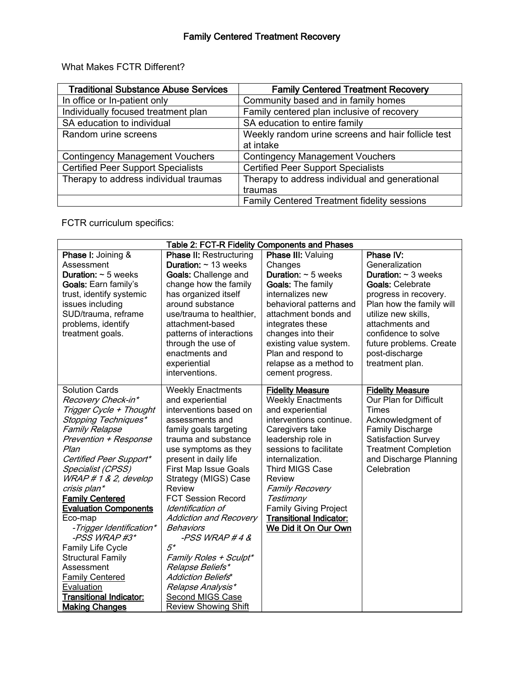| <b>Traditional Substance Abuse Services</b> | <b>Family Centered Treatment Recovery</b>          |
|---------------------------------------------|----------------------------------------------------|
| In office or In-patient only                | Community based and in family homes                |
| Individually focused treatment plan         | Family centered plan inclusive of recovery         |
| SA education to individual                  | SA education to entire family                      |
| Random urine screens                        | Weekly random urine screens and hair follicle test |
|                                             | at intake                                          |
| <b>Contingency Management Vouchers</b>      | <b>Contingency Management Vouchers</b>             |
| <b>Certified Peer Support Specialists</b>   | <b>Certified Peer Support Specialists</b>          |
| Therapy to address individual traumas       | Therapy to address individual and generational     |
|                                             | traumas                                            |
|                                             | <b>Family Centered Treatment fidelity sessions</b> |

What Makes FCTR Different?

FCTR curriculum specifics:

| Table 2: FCT-R Fidelity Components and Phases |                                  |                                 |                                 |  |  |  |  |  |
|-----------------------------------------------|----------------------------------|---------------------------------|---------------------------------|--|--|--|--|--|
| <b>Phase I: Joining &amp;</b>                 | <b>Phase II: Restructuring</b>   | Phase III: Valuing              | Phase IV:                       |  |  |  |  |  |
| Assessment                                    | <b>Duration:</b> $\sim$ 13 weeks | Changes                         | Generalization                  |  |  |  |  |  |
| <b>Duration:</b> $\sim$ 5 weeks               | <b>Goals: Challenge and</b>      | <b>Duration:</b> $\sim$ 5 weeks | <b>Duration:</b> $\sim$ 3 weeks |  |  |  |  |  |
| Goals: Earn family's                          | change how the family            | <b>Goals: The family</b>        | <b>Goals: Celebrate</b>         |  |  |  |  |  |
| trust, identify systemic                      | has organized itself             | internalizes new                | progress in recovery.           |  |  |  |  |  |
| issues including                              | around substance                 | behavioral patterns and         | Plan how the family will        |  |  |  |  |  |
| SUD/trauma, reframe                           | use/trauma to healthier,         | attachment bonds and            | utilize new skills,             |  |  |  |  |  |
| problems, identify                            | attachment-based                 | integrates these                | attachments and                 |  |  |  |  |  |
| treatment goals.                              | patterns of interactions         | changes into their              | confidence to solve             |  |  |  |  |  |
|                                               | through the use of               | existing value system.          | future problems. Create         |  |  |  |  |  |
|                                               | enactments and                   | Plan and respond to             | post-discharge                  |  |  |  |  |  |
|                                               | experiential                     | relapse as a method to          | treatment plan.                 |  |  |  |  |  |
|                                               | interventions.                   | cement progress.                |                                 |  |  |  |  |  |
| <b>Solution Cards</b>                         | <b>Weekly Enactments</b>         | <b>Fidelity Measure</b>         | <b>Fidelity Measure</b>         |  |  |  |  |  |
| Recovery Check-in*                            | and experiential                 | <b>Weekly Enactments</b>        | Our Plan for Difficult          |  |  |  |  |  |
| Trigger Cycle + Thought                       | interventions based on           | and experiential                | <b>Times</b>                    |  |  |  |  |  |
| Stopping Techniques*                          | assessments and                  | interventions continue.         | Acknowledgment of               |  |  |  |  |  |
| <b>Family Relapse</b>                         | family goals targeting           | Caregivers take                 | <b>Family Discharge</b>         |  |  |  |  |  |
| Prevention + Response                         | trauma and substance             | leadership role in              | <b>Satisfaction Survey</b>      |  |  |  |  |  |
| Plan                                          | use symptoms as they             | sessions to facilitate          | <b>Treatment Completion</b>     |  |  |  |  |  |
| Certified Peer Support*                       | present in daily life            | internalization.                | and Discharge Planning          |  |  |  |  |  |
| Specialist (CPSS)                             | <b>First Map Issue Goals</b>     | <b>Third MIGS Case</b>          | Celebration                     |  |  |  |  |  |
| WRAP # 1 & 2, develop                         | Strategy (MIGS) Case             | Review                          |                                 |  |  |  |  |  |
| crisis plan*                                  | Review                           | <b>Family Recovery</b>          |                                 |  |  |  |  |  |
| <b>Family Centered</b>                        | <b>FCT Session Record</b>        | Testimony                       |                                 |  |  |  |  |  |
| <b>Evaluation Components</b>                  | Identification of                | <b>Family Giving Project</b>    |                                 |  |  |  |  |  |
| Eco-map                                       | <b>Addiction and Recovery</b>    | <b>Transitional Indicator:</b>  |                                 |  |  |  |  |  |
| -Trigger Identification*                      | Behaviors                        | We Did it On Our Own            |                                 |  |  |  |  |  |
| -PSS WRAP#3*                                  | -PSS WRAP #4 $\&$                |                                 |                                 |  |  |  |  |  |
| Family Life Cycle                             | $5^*$                            |                                 |                                 |  |  |  |  |  |
| <b>Structural Family</b>                      | Family Roles + Sculpt*           |                                 |                                 |  |  |  |  |  |
| Assessment                                    | Relapse Beliefs*                 |                                 |                                 |  |  |  |  |  |
| <b>Family Centered</b>                        | Addiction Beliefs*               |                                 |                                 |  |  |  |  |  |
| Evaluation                                    | Relapse Analysis*                |                                 |                                 |  |  |  |  |  |
| <b>Transitional Indicator:</b>                | Second MIGS Case                 |                                 |                                 |  |  |  |  |  |
| <b>Making Changes</b>                         | <b>Review Showing Shift</b>      |                                 |                                 |  |  |  |  |  |